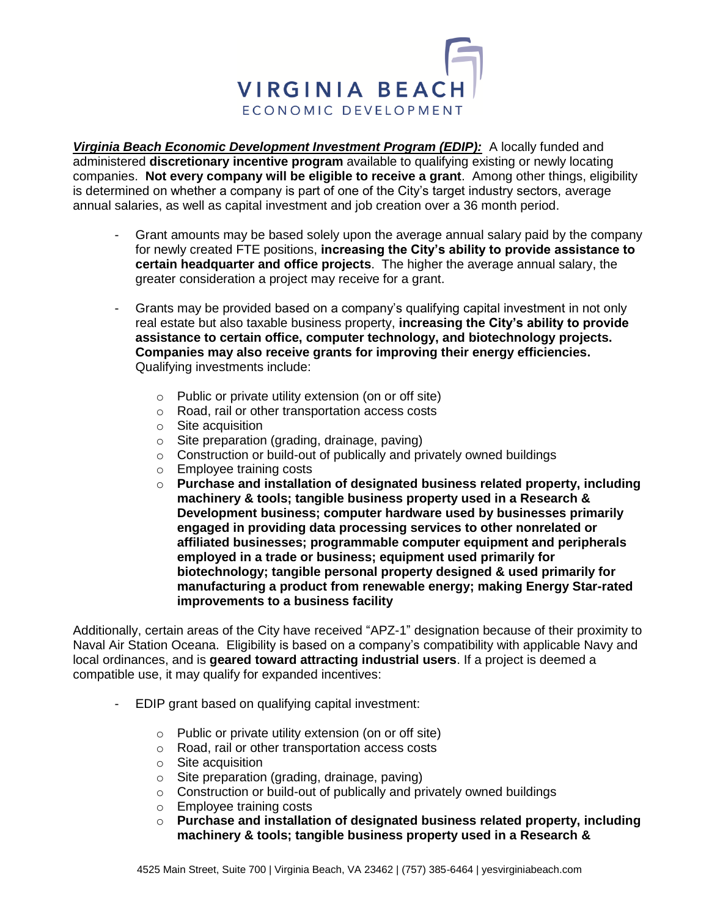

*Virginia Beach Economic Development Investment Program (EDIP):* A locally funded and administered **discretionary incentive program** available to qualifying existing or newly locating companies. **Not every company will be eligible to receive a grant**. Among other things, eligibility is determined on whether a company is part of one of the City's target industry sectors, average annual salaries, as well as capital investment and job creation over a 36 month period.

- Grant amounts may be based solely upon the average annual salary paid by the company for newly created FTE positions, **increasing the City's ability to provide assistance to certain headquarter and office projects**. The higher the average annual salary, the greater consideration a project may receive for a grant.
- Grants may be provided based on a company's qualifying capital investment in not only real estate but also taxable business property, **increasing the City's ability to provide assistance to certain office, computer technology, and biotechnology projects. Companies may also receive grants for improving their energy efficiencies.** Qualifying investments include:
	- o Public or private utility extension (on or off site)
	- o Road, rail or other transportation access costs
	- o Site acquisition
	- o Site preparation (grading, drainage, paving)
	- o Construction or build-out of publically and privately owned buildings
	- o Employee training costs
	- o **Purchase and installation of designated business related property, including machinery & tools; tangible business property used in a Research & Development business; computer hardware used by businesses primarily engaged in providing data processing services to other nonrelated or affiliated businesses; programmable computer equipment and peripherals employed in a trade or business; equipment used primarily for biotechnology; tangible personal property designed & used primarily for manufacturing a product from renewable energy; making Energy Star-rated improvements to a business facility**

Additionally, certain areas of the City have received "APZ-1" designation because of their proximity to Naval Air Station Oceana. Eligibility is based on a company's compatibility with applicable Navy and local ordinances, and is **geared toward attracting industrial users**. If a project is deemed a compatible use, it may qualify for expanded incentives:

- EDIP grant based on qualifying capital investment:
	- o Public or private utility extension (on or off site)
	- o Road, rail or other transportation access costs
	- o Site acquisition
	- o Site preparation (grading, drainage, paving)
	- o Construction or build-out of publically and privately owned buildings
	- o Employee training costs
	- o **Purchase and installation of designated business related property, including machinery & tools; tangible business property used in a Research &**